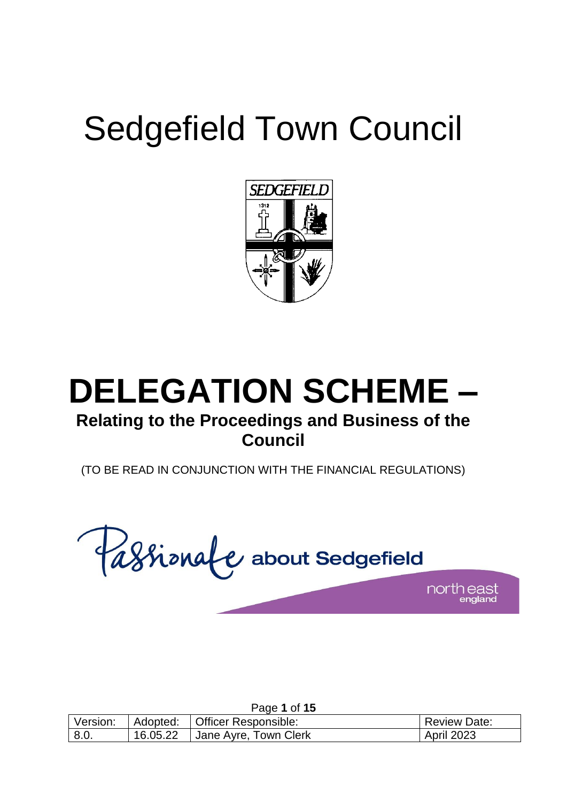# Sedgefield Town Council



# **DELEGATION SCHEME – Relating to the Proceedings and Business of the Council**

(TO BE READ IN CONJUNCTION WITH THE FINANCIAL REGULATIONS)

Cassionale about Sedgefield

north east

|          |          | Page 1 of 15                    |                   |
|----------|----------|---------------------------------|-------------------|
| Version: |          | Adopted:   Officer Responsible: | Review Date:      |
| 8.0.     | 16.05.22 | Jane Ayre, Town Clerk           | <b>April 2023</b> |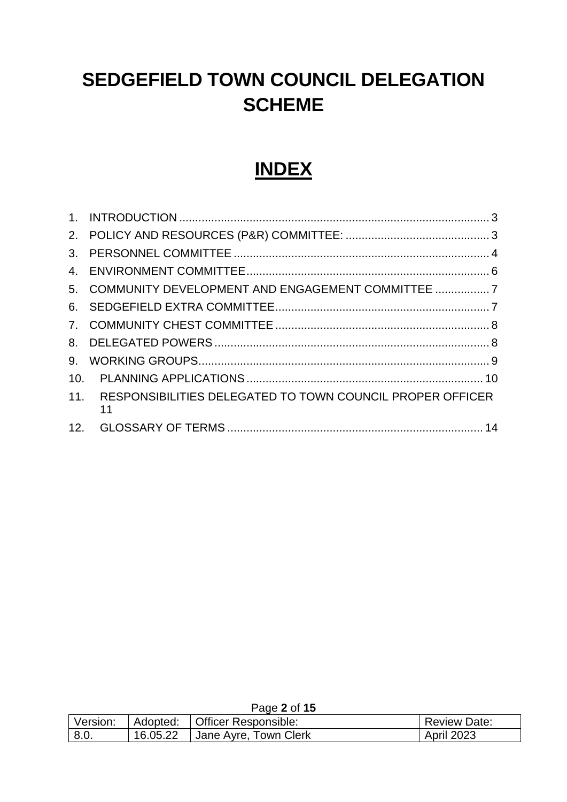# **SEDGEFIELD TOWN COUNCIL DELEGATION SCHEME**

# **INDEX**

| 5. COMMUNITY DEVELOPMENT AND ENGAGEMENT COMMITTEE  7                |  |
|---------------------------------------------------------------------|--|
|                                                                     |  |
|                                                                     |  |
|                                                                     |  |
|                                                                     |  |
|                                                                     |  |
| 11. RESPONSIBILITIES DELEGATED TO TOWN COUNCIL PROPER OFFICER<br>11 |  |
|                                                                     |  |
|                                                                     |  |

|          |          | Page 2 of 15                    |                     |
|----------|----------|---------------------------------|---------------------|
| Version: |          | Adopted:   Officer Responsible: | <b>Review Date:</b> |
| 8.0.     | 16.05.22 | Jane Ayre, Town Clerk           | <b>April 2023</b>   |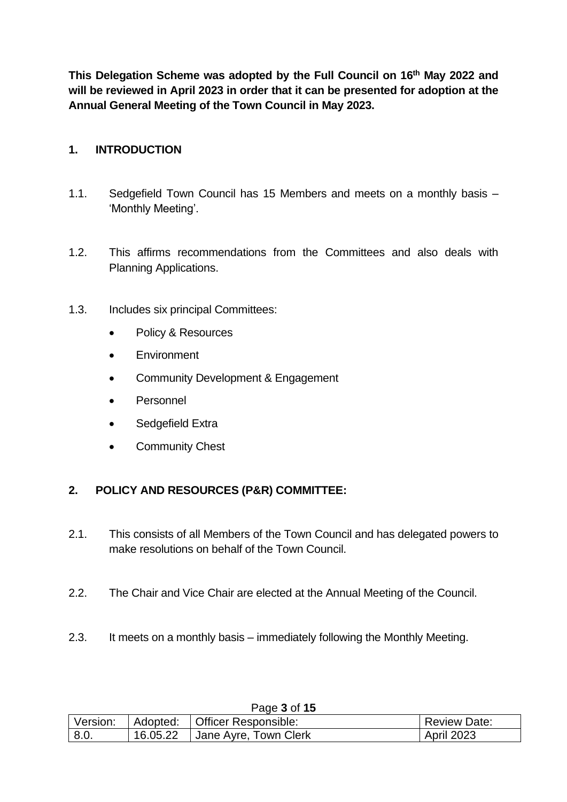**This Delegation Scheme was adopted by the Full Council on 16th May 2022 and will be reviewed in April 2023 in order that it can be presented for adoption at the Annual General Meeting of the Town Council in May 2023.** 

## <span id="page-2-0"></span>**1. INTRODUCTION**

- 1.1. Sedgefield Town Council has 15 Members and meets on a monthly basis 'Monthly Meeting'.
- 1.2. This affirms recommendations from the Committees and also deals with Planning Applications.
- 1.3. Includes six principal Committees:
	- Policy & Resources
	- **Environment**
	- Community Development & Engagement
	- Personnel
	- Sedgefield Extra
	- Community Chest

## <span id="page-2-1"></span>**2. POLICY AND RESOURCES (P&R) COMMITTEE:**

- 2.1. This consists of all Members of the Town Council and has delegated powers to make resolutions on behalf of the Town Council.
- 2.2. The Chair and Vice Chair are elected at the Annual Meeting of the Council.
- 2.3. It meets on a monthly basis immediately following the Monthly Meeting.

| Page 3 OF 13 |          |                                 |                     |  |
|--------------|----------|---------------------------------|---------------------|--|
| Version:     |          | Adopted:   Officer Responsible: | <b>Review Date:</b> |  |
| 8.0.         | 16.05.22 | ' Jane Ayre, Town Clerk         | <b>April 2023</b>   |  |

# Page **3** of **15**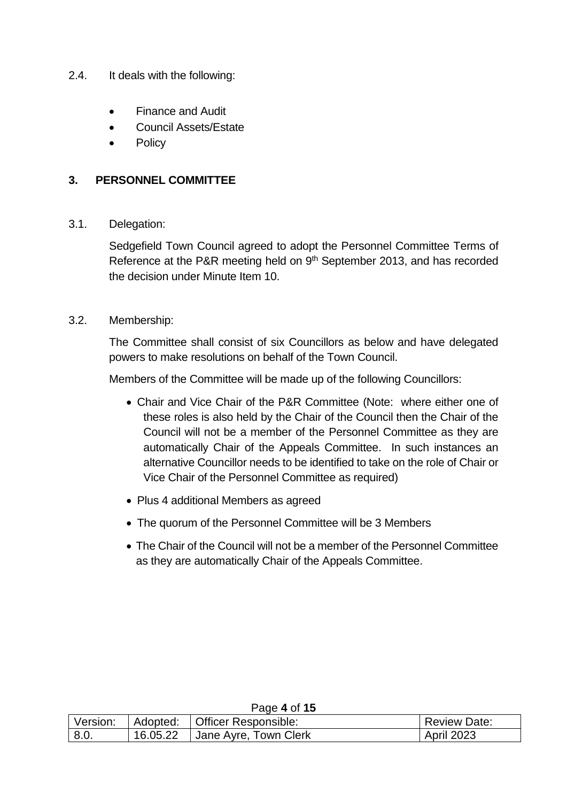- 2.4. It deals with the following:
	- Finance and Audit
	- Council Assets/Estate
	- Policy

#### <span id="page-3-0"></span>**3. PERSONNEL COMMITTEE**

#### 3.1. Delegation:

Sedgefield Town Council agreed to adopt the Personnel Committee Terms of Reference at the P&R meeting held on 9<sup>th</sup> September 2013, and has recorded the decision under Minute Item 10.

#### 3.2. Membership:

The Committee shall consist of six Councillors as below and have delegated powers to make resolutions on behalf of the Town Council.

Members of the Committee will be made up of the following Councillors:

- Chair and Vice Chair of the P&R Committee (Note: where either one of these roles is also held by the Chair of the Council then the Chair of the Council will not be a member of the Personnel Committee as they are automatically Chair of the Appeals Committee. In such instances an alternative Councillor needs to be identified to take on the role of Chair or Vice Chair of the Personnel Committee as required)
- Plus 4 additional Members as agreed
- The quorum of the Personnel Committee will be 3 Members
- The Chair of the Council will not be a member of the Personnel Committee as they are automatically Chair of the Appeals Committee.

| <b>AUG + UI IJ</b> |          |                                 |                     |  |
|--------------------|----------|---------------------------------|---------------------|--|
| Version:           |          | Adopted:   Officer Responsible: | <b>Review Date:</b> |  |
| 8.0.               | 16.05.22 | ' Jane Ayre, Town Clerk         | <b>April 2023</b>   |  |

#### Page **4** of **15**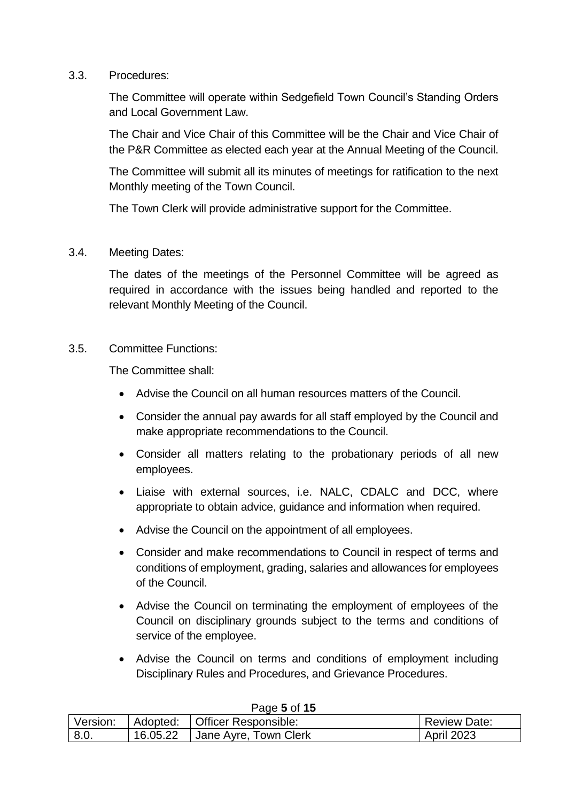#### 3.3. Procedures:

The Committee will operate within Sedgefield Town Council's Standing Orders and Local Government Law.

The Chair and Vice Chair of this Committee will be the Chair and Vice Chair of the P&R Committee as elected each year at the Annual Meeting of the Council.

The Committee will submit all its minutes of meetings for ratification to the next Monthly meeting of the Town Council.

The Town Clerk will provide administrative support for the Committee.

3.4. Meeting Dates:

The dates of the meetings of the Personnel Committee will be agreed as required in accordance with the issues being handled and reported to the relevant Monthly Meeting of the Council.

3.5. Committee Functions:

The Committee shall:

- Advise the Council on all human resources matters of the Council.
- Consider the annual pay awards for all staff employed by the Council and make appropriate recommendations to the Council.
- Consider all matters relating to the probationary periods of all new employees.
- Liaise with external sources, i.e. NALC, CDALC and DCC, where appropriate to obtain advice, guidance and information when required.
- Advise the Council on the appointment of all employees.
- Consider and make recommendations to Council in respect of terms and conditions of employment, grading, salaries and allowances for employees of the Council.
- Advise the Council on terminating the employment of employees of the Council on disciplinary grounds subject to the terms and conditions of service of the employee.
- Advise the Council on terms and conditions of employment including Disciplinary Rules and Procedures, and Grievance Procedures.

| Version: | Adopted: | Officer Responsible:               | <b>Review Date:</b> |
|----------|----------|------------------------------------|---------------------|
| 8.0.     | 16.05.22 | <sup>1</sup> Jane Ayre, Town Clerk | <b>April 2023</b>   |

#### Page **5** of **15**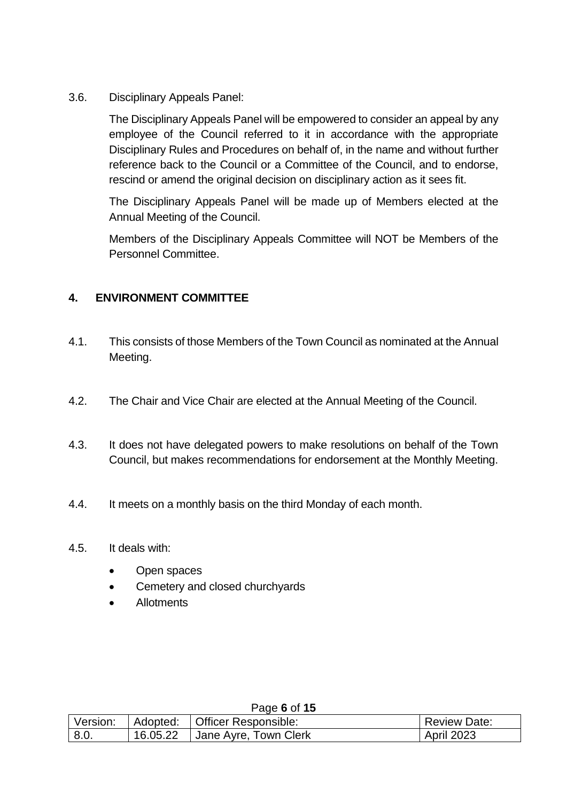3.6. Disciplinary Appeals Panel:

The Disciplinary Appeals Panel will be empowered to consider an appeal by any employee of the Council referred to it in accordance with the appropriate Disciplinary Rules and Procedures on behalf of, in the name and without further reference back to the Council or a Committee of the Council, and to endorse, rescind or amend the original decision on disciplinary action as it sees fit.

The Disciplinary Appeals Panel will be made up of Members elected at the Annual Meeting of the Council.

Members of the Disciplinary Appeals Committee will NOT be Members of the Personnel Committee.

# <span id="page-5-0"></span>**4. ENVIRONMENT COMMITTEE**

- 4.1. This consists of those Members of the Town Council as nominated at the Annual Meeting.
- 4.2. The Chair and Vice Chair are elected at the Annual Meeting of the Council.
- 4.3. It does not have delegated powers to make resolutions on behalf of the Town Council, but makes recommendations for endorsement at the Monthly Meeting.
- 4.4. It meets on a monthly basis on the third Monday of each month.
- 4.5. It deals with:
	- Open spaces
	- Cemetery and closed churchyards
	- Allotments

| <b>AYO U U U</b> |          |                                 |                     |  |
|------------------|----------|---------------------------------|---------------------|--|
| Version:         |          | Adopted:   Officer Responsible: | <b>Review Date:</b> |  |
| $^{\circ}$ 8.0.  | 16.05.22 | Jane Ayre, Town Clerk           | <b>April 2023</b>   |  |

Page **6** of **15**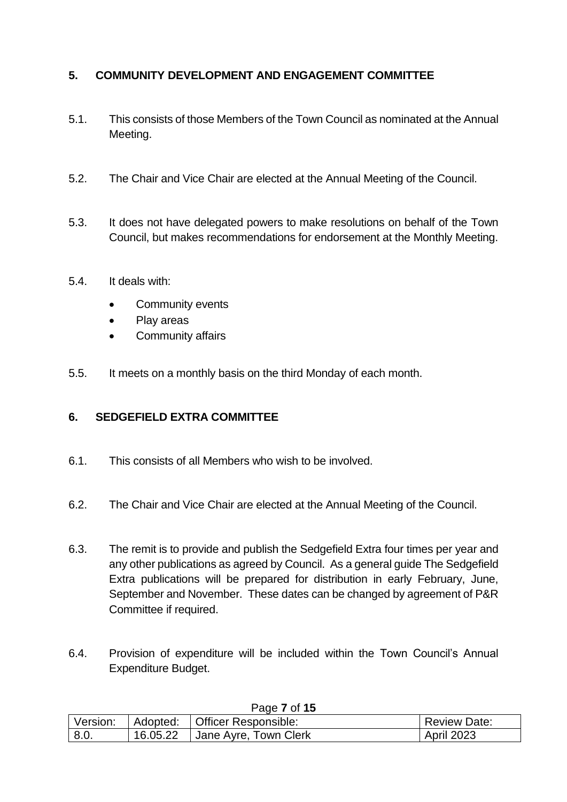# <span id="page-6-0"></span>**5. COMMUNITY DEVELOPMENT AND ENGAGEMENT COMMITTEE**

- 5.1. This consists of those Members of the Town Council as nominated at the Annual Meeting.
- 5.2. The Chair and Vice Chair are elected at the Annual Meeting of the Council.
- 5.3. It does not have delegated powers to make resolutions on behalf of the Town Council, but makes recommendations for endorsement at the Monthly Meeting.
- 5.4. It deals with:
	- Community events
	- Play areas
	- Community affairs
- 5.5. It meets on a monthly basis on the third Monday of each month.

# <span id="page-6-1"></span>**6. SEDGEFIELD EXTRA COMMITTEE**

- 6.1. This consists of all Members who wish to be involved.
- 6.2. The Chair and Vice Chair are elected at the Annual Meeting of the Council.
- 6.3. The remit is to provide and publish the Sedgefield Extra four times per year and any other publications as agreed by Council. As a general guide The Sedgefield Extra publications will be prepared for distribution in early February, June, September and November. These dates can be changed by agreement of P&R Committee if required.
- 6.4. Provision of expenditure will be included within the Town Council's Annual Expenditure Budget.

| <b>UYU 1 UI 10</b> |          |                                        |                     |  |
|--------------------|----------|----------------------------------------|---------------------|--|
|                    |          | Version: Adopted: Officer Responsible: | <b>Review Date:</b> |  |
| l 8.0.             | 16.05.22 | Jane Ayre, Town Clerk                  | <b>April 2023</b>   |  |

Page **7** of **15**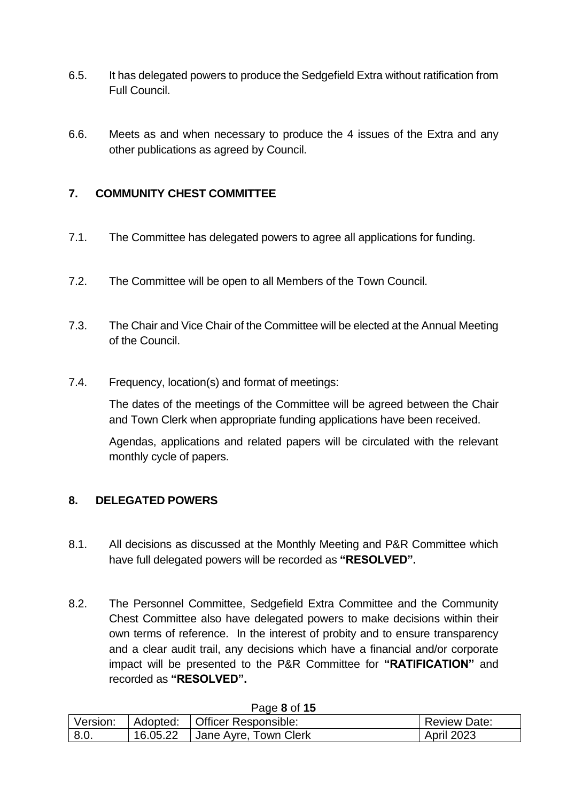- 6.5. It has delegated powers to produce the Sedgefield Extra without ratification from Full Council.
- 6.6. Meets as and when necessary to produce the 4 issues of the Extra and any other publications as agreed by Council.

# <span id="page-7-0"></span>**7. COMMUNITY CHEST COMMITTEE**

- 7.1. The Committee has delegated powers to agree all applications for funding.
- 7.2. The Committee will be open to all Members of the Town Council.
- 7.3. The Chair and Vice Chair of the Committee will be elected at the Annual Meeting of the Council.
- 7.4. Frequency, location(s) and format of meetings:

The dates of the meetings of the Committee will be agreed between the Chair and Town Clerk when appropriate funding applications have been received.

Agendas, applications and related papers will be circulated with the relevant monthly cycle of papers.

## <span id="page-7-1"></span>**8. DELEGATED POWERS**

- 8.1. All decisions as discussed at the Monthly Meeting and P&R Committee which have full delegated powers will be recorded as **"RESOLVED".**
- 8.2. The Personnel Committee, Sedgefield Extra Committee and the Community Chest Committee also have delegated powers to make decisions within their own terms of reference. In the interest of probity and to ensure transparency and a clear audit trail, any decisions which have a financial and/or corporate impact will be presented to the P&R Committee for **"RATIFICATION"** and recorded as **"RESOLVED".**

| .    |  |                                        |                     |
|------|--|----------------------------------------|---------------------|
|      |  | Version: Adopted: Officer Responsible: | <b>Review Date:</b> |
| 8.0. |  | 16.05.22 Jane Ayre, Town Clerk         | <b>April 2023</b>   |

#### Page **8** of **15**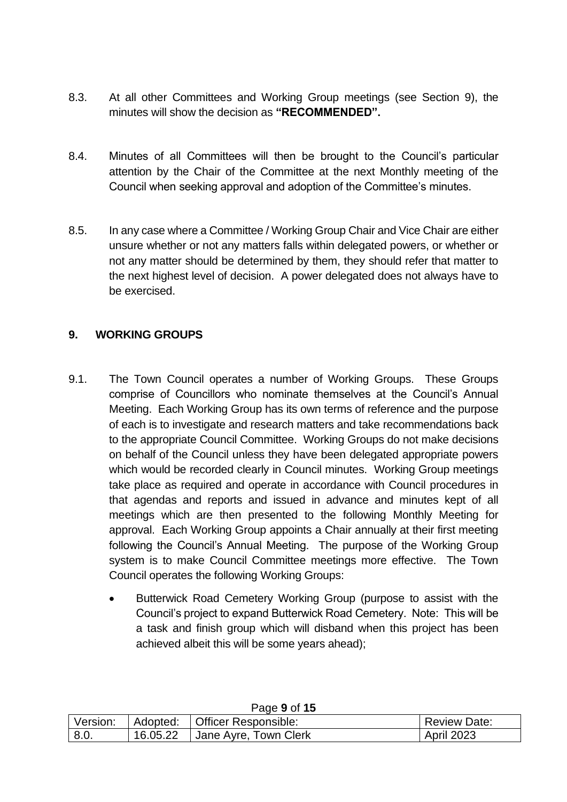- 8.3. At all other Committees and Working Group meetings (see Section 9), the minutes will show the decision as **"RECOMMENDED".**
- 8.4. Minutes of all Committees will then be brought to the Council's particular attention by the Chair of the Committee at the next Monthly meeting of the Council when seeking approval and adoption of the Committee's minutes.
- 8.5. In any case where a Committee / Working Group Chair and Vice Chair are either unsure whether or not any matters falls within delegated powers, or whether or not any matter should be determined by them, they should refer that matter to the next highest level of decision. A power delegated does not always have to be exercised.

## <span id="page-8-0"></span>**9. WORKING GROUPS**

- 9.1. The Town Council operates a number of Working Groups. These Groups comprise of Councillors who nominate themselves at the Council's Annual Meeting. Each Working Group has its own terms of reference and the purpose of each is to investigate and research matters and take recommendations back to the appropriate Council Committee. Working Groups do not make decisions on behalf of the Council unless they have been delegated appropriate powers which would be recorded clearly in Council minutes. Working Group meetings take place as required and operate in accordance with Council procedures in that agendas and reports and issued in advance and minutes kept of all meetings which are then presented to the following Monthly Meeting for approval. Each Working Group appoints a Chair annually at their first meeting following the Council's Annual Meeting. The purpose of the Working Group system is to make Council Committee meetings more effective. The Town Council operates the following Working Groups:
	- Butterwick Road Cemetery Working Group (purpose to assist with the Council's project to expand Butterwick Road Cemetery. Note: This will be a task and finish group which will disband when this project has been achieved albeit this will be some years ahead);

| Version: | Adopted: | Officer Responsible:               | <b>Review Date:</b> |
|----------|----------|------------------------------------|---------------------|
| 8.0.     | 16.05.22 | <sup>1</sup> Jane Ayre, Town Clerk | <b>April 2023</b>   |

Page **9** of **15**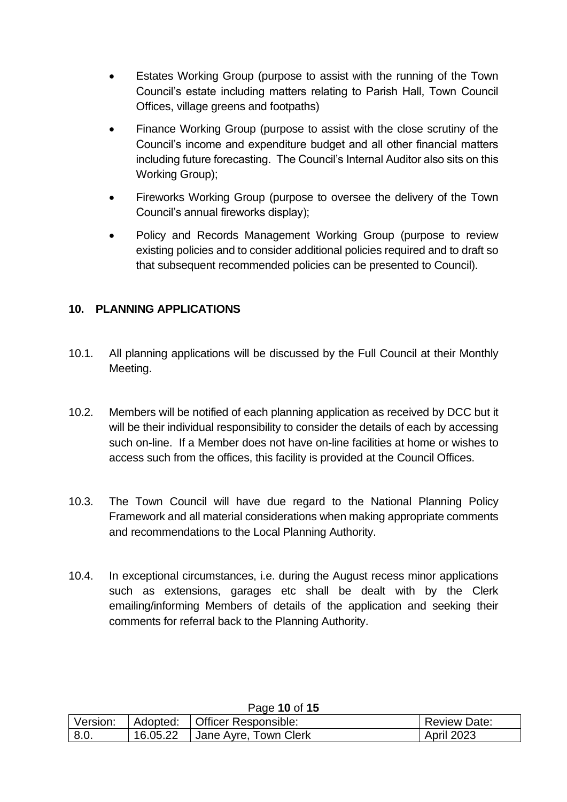- Estates Working Group (purpose to assist with the running of the Town Council's estate including matters relating to Parish Hall, Town Council Offices, village greens and footpaths)
- Finance Working Group (purpose to assist with the close scrutiny of the Council's income and expenditure budget and all other financial matters including future forecasting. The Council's Internal Auditor also sits on this Working Group);
- Fireworks Working Group (purpose to oversee the delivery of the Town Council's annual fireworks display);
- Policy and Records Management Working Group (purpose to review existing policies and to consider additional policies required and to draft so that subsequent recommended policies can be presented to Council).

# <span id="page-9-0"></span>**10. PLANNING APPLICATIONS**

- 10.1. All planning applications will be discussed by the Full Council at their Monthly Meeting.
- 10.2. Members will be notified of each planning application as received by DCC but it will be their individual responsibility to consider the details of each by accessing such on-line. If a Member does not have on-line facilities at home or wishes to access such from the offices, this facility is provided at the Council Offices.
- 10.3. The Town Council will have due regard to the National Planning Policy Framework and all material considerations when making appropriate comments and recommendations to the Local Planning Authority.
- 10.4. In exceptional circumstances, i.e. during the August recess minor applications such as extensions, garages etc shall be dealt with by the Clerk emailing/informing Members of details of the application and seeking their comments for referral back to the Planning Authority.

| , ago <b>, o</b> or <b>, o</b> |  |                                        |                   |  |
|--------------------------------|--|----------------------------------------|-------------------|--|
|                                |  | Version: Adopted: Officer Responsible: | Review Date:      |  |
| 8.0.                           |  | 16.05.22   Jane Ayre, Town Clerk       | <b>April 2023</b> |  |

#### Page **10** of **15**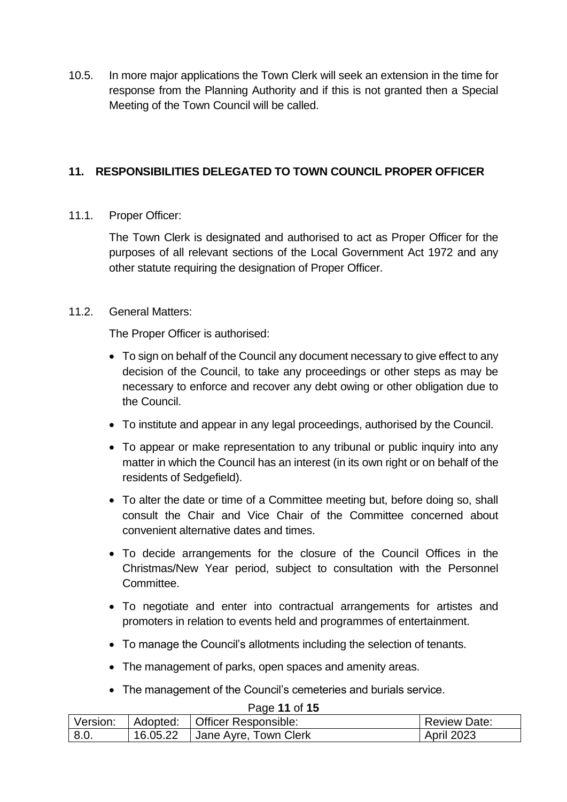10.5. In more major applications the Town Clerk will seek an extension in the time for response from the Planning Authority and if this is not granted then a Special Meeting of the Town Council will be called.

# <span id="page-10-0"></span>**11. RESPONSIBILITIES DELEGATED TO TOWN COUNCIL PROPER OFFICER**

11.1. Proper Officer:

The Town Clerk is designated and authorised to act as Proper Officer for the purposes of all relevant sections of the Local Government Act 1972 and any other statute requiring the designation of Proper Officer.

#### 11.2. General Matters:

The Proper Officer is authorised:

- To sign on behalf of the Council any document necessary to give effect to any decision of the Council, to take any proceedings or other steps as may be necessary to enforce and recover any debt owing or other obligation due to the Council.
- To institute and appear in any legal proceedings, authorised by the Council.
- To appear or make representation to any tribunal or public inquiry into any matter in which the Council has an interest (in its own right or on behalf of the residents of Sedgefield).
- To alter the date or time of a Committee meeting but, before doing so, shall consult the Chair and Vice Chair of the Committee concerned about convenient alternative dates and times.
- To decide arrangements for the closure of the Council Offices in the Christmas/New Year period, subject to consultation with the Personnel **Committee.**
- To negotiate and enter into contractual arrangements for artistes and promoters in relation to events held and programmes of entertainment.
- To manage the Council's allotments including the selection of tenants.
- The management of parks, open spaces and amenity areas.
- The management of the Council's cemeteries and burials service.

#### Page **11** of **15**

| Version: | Adopted: | :   Officer Responsible: | Review Date:      |
|----------|----------|--------------------------|-------------------|
| 8.0.     | 16.05.22 | Jane Ayre, Town Clerk    | <b>April 2023</b> |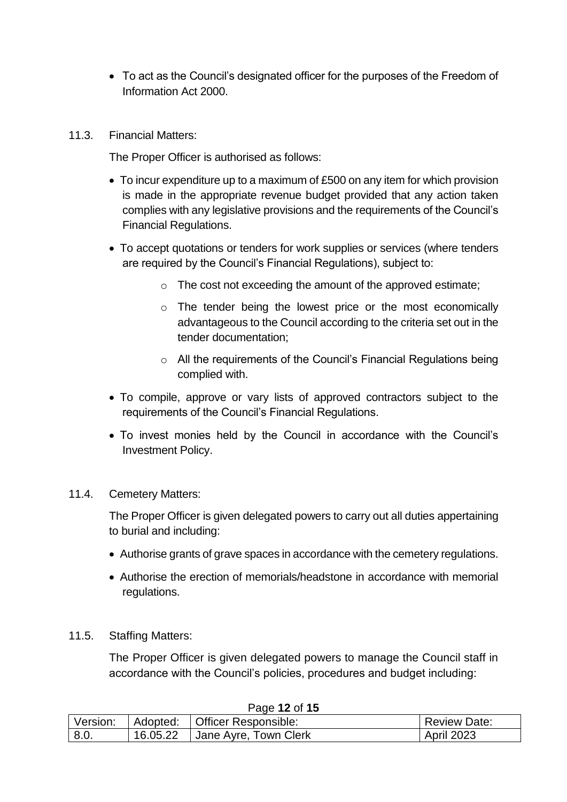- To act as the Council's designated officer for the purposes of the Freedom of Information Act 2000.
- 11.3. Financial Matters:

The Proper Officer is authorised as follows:

- To incur expenditure up to a maximum of £500 on any item for which provision is made in the appropriate revenue budget provided that any action taken complies with any legislative provisions and the requirements of the Council's Financial Regulations.
- To accept quotations or tenders for work supplies or services (where tenders are required by the Council's Financial Regulations), subject to:
	- o The cost not exceeding the amount of the approved estimate;
	- o The tender being the lowest price or the most economically advantageous to the Council according to the criteria set out in the tender documentation;
	- o All the requirements of the Council's Financial Regulations being complied with.
- To compile, approve or vary lists of approved contractors subject to the requirements of the Council's Financial Regulations.
- To invest monies held by the Council in accordance with the Council's Investment Policy.
- 11.4. Cemetery Matters:

The Proper Officer is given delegated powers to carry out all duties appertaining to burial and including:

- Authorise grants of grave spaces in accordance with the cemetery regulations.
- Authorise the erection of memorials/headstone in accordance with memorial regulations.
- 11.5. Staffing Matters:

The Proper Officer is given delegated powers to manage the Council staff in accordance with the Council's policies, procedures and budget including:

| $1$ $040$ $14$ $01$ $19$ |  |                                                |                   |
|--------------------------|--|------------------------------------------------|-------------------|
|                          |  | Version: Adopted: Officer Responsible:         | Review Date:      |
| 8.0.                     |  | $\vert$ 16.05.22 $\vert$ Jane Ayre, Town Clerk | <b>April 2023</b> |

#### Page **12** of **15**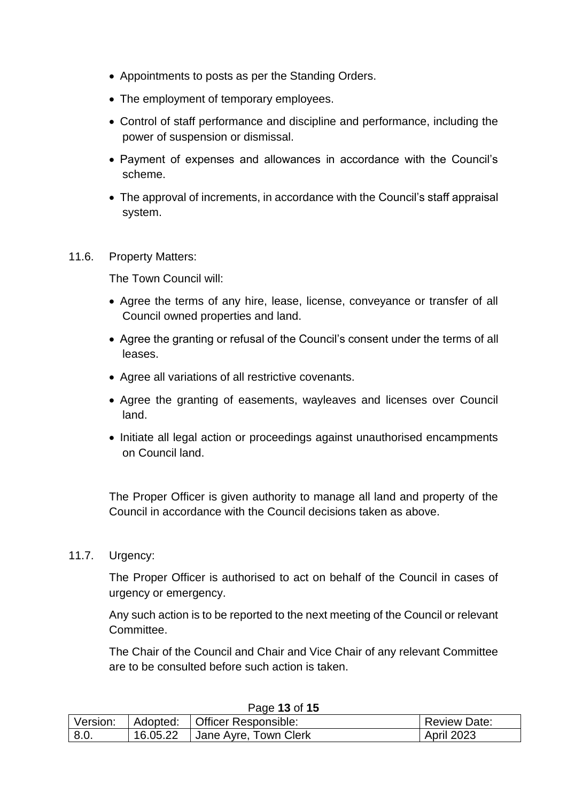- Appointments to posts as per the Standing Orders.
- The employment of temporary employees.
- Control of staff performance and discipline and performance, including the power of suspension or dismissal.
- Payment of expenses and allowances in accordance with the Council's scheme.
- The approval of increments, in accordance with the Council's staff appraisal system.

#### 11.6. Property Matters:

The Town Council will:

- Agree the terms of any hire, lease, license, conveyance or transfer of all Council owned properties and land.
- Agree the granting or refusal of the Council's consent under the terms of all leases.
- Agree all variations of all restrictive covenants.
- Agree the granting of easements, wayleaves and licenses over Council land.
- Initiate all legal action or proceedings against unauthorised encampments on Council land.

The Proper Officer is given authority to manage all land and property of the Council in accordance with the Council decisions taken as above.

#### 11.7. Urgency:

The Proper Officer is authorised to act on behalf of the Council in cases of urgency or emergency.

Any such action is to be reported to the next meeting of the Council or relevant Committee.

The Chair of the Council and Chair and Vice Chair of any relevant Committee are to be consulted before such action is taken.

| , uyv 10 vi 10 |  |                                        |                     |
|----------------|--|----------------------------------------|---------------------|
|                |  | Version: Adopted: Officer Responsible: | <b>Review Date:</b> |
| $\vert 8.0.$   |  | 16.05.22 Jane Ayre, Town Clerk         | April 2023          |

#### Page **13** of **15**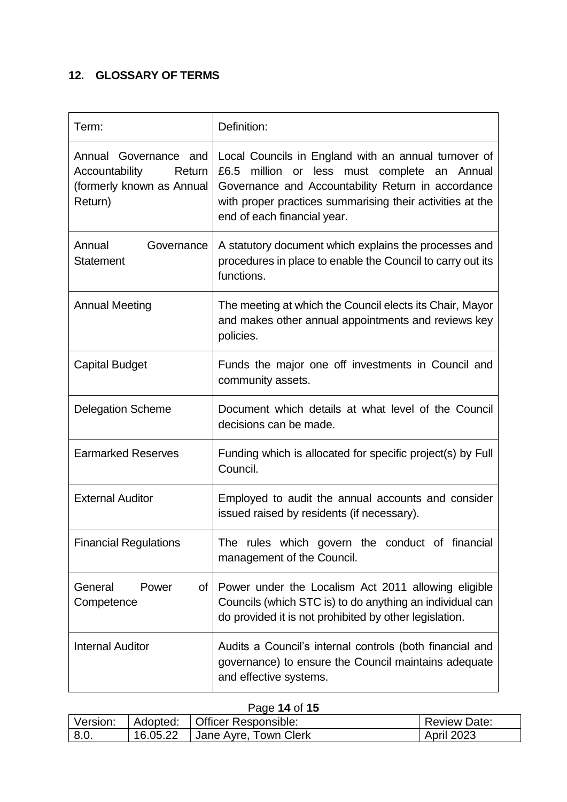# <span id="page-13-0"></span>**12. GLOSSARY OF TERMS**

| Term:                                                                                     | Definition:                                                                                                                                                                                                                                               |
|-------------------------------------------------------------------------------------------|-----------------------------------------------------------------------------------------------------------------------------------------------------------------------------------------------------------------------------------------------------------|
| Annual Governance and<br>Accountability<br>Return<br>(formerly known as Annual<br>Return) | Local Councils in England with an annual turnover of<br>£6.5<br>million or less must complete an Annual<br>Governance and Accountability Return in accordance<br>with proper practices summarising their activities at the<br>end of each financial year. |
| Annual<br>Governance<br><b>Statement</b>                                                  | A statutory document which explains the processes and<br>procedures in place to enable the Council to carry out its<br>functions.                                                                                                                         |
| <b>Annual Meeting</b>                                                                     | The meeting at which the Council elects its Chair, Mayor<br>and makes other annual appointments and reviews key<br>policies.                                                                                                                              |
| <b>Capital Budget</b>                                                                     | Funds the major one off investments in Council and<br>community assets.                                                                                                                                                                                   |
| <b>Delegation Scheme</b>                                                                  | Document which details at what level of the Council<br>decisions can be made.                                                                                                                                                                             |
| <b>Earmarked Reserves</b>                                                                 | Funding which is allocated for specific project(s) by Full<br>Council.                                                                                                                                                                                    |
| <b>External Auditor</b>                                                                   | Employed to audit the annual accounts and consider<br>issued raised by residents (if necessary).                                                                                                                                                          |
| <b>Financial Regulations</b>                                                              | The rules which govern the conduct of financial<br>management of the Council.                                                                                                                                                                             |
| General<br>Power<br>of<br>Competence                                                      | Power under the Localism Act 2011 allowing eligible<br>Councils (which STC is) to do anything an individual can<br>do provided it is not prohibited by other legislation.                                                                                 |
| <b>Internal Auditor</b>                                                                   | Audits a Council's internal controls (both financial and<br>governance) to ensure the Council maintains adequate<br>and effective systems.                                                                                                                |

# Page **14** of **15**

| Version: | l Adopted: | Officer Responsible:  | <b>Review Date:</b> |
|----------|------------|-----------------------|---------------------|
| 8.0.     | 16.05.22   | Jane Ayre, Town Clerk | <b>April 2023</b>   |